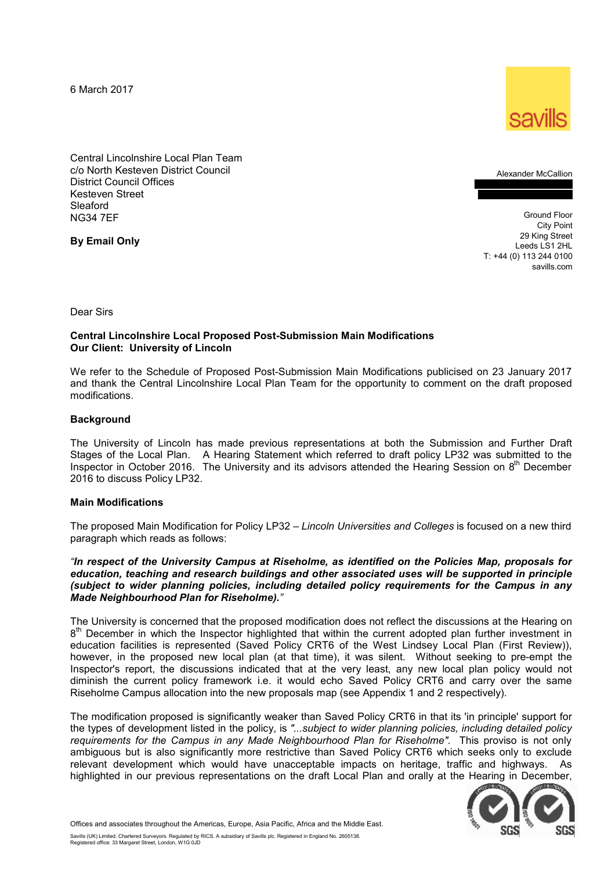6 March 2017



Central Lincolnshire Local Plan Team c/o North Kesteven District Council District Council Offices Kesteven Street Sleaford NG34 7EF

**By Email Only** 

Alexander McCallion

Ground Floor City Point 29 King Street Leeds LS1 2HL T: +44 (0) 113 244 0100 savills.com

Dear Sirs

## **Central Lincolnshire Local Proposed Post-Submission Main Modifications Our Client: University of Lincoln**

We refer to the Schedule of Proposed Post-Submission Main Modifications publicised on 23 January 2017 and thank the Central Lincolnshire Local Plan Team for the opportunity to comment on the draft proposed modifications.

### **Background**

The University of Lincoln has made previous representations at both the Submission and Further Draft Stages of the Local Plan. A Hearing Statement which referred to draft policy LP32 was submitted to the Inspector in October 2016. The University and its advisors attended the Hearing Session on  $8<sup>th</sup>$  December 2016 to discuss Policy LP32.

#### **Main Modifications**

The proposed Main Modification for Policy LP32 – *Lincoln Universities and Colleges* is focused on a new third paragraph which reads as follows:

*"In respect of the University Campus at Riseholme, as identified on the Policies Map, proposals for education, teaching and research buildings and other associated uses will be supported in principle (subject to wider planning policies, including detailed policy requirements for the Campus in any Made Neighbourhood Plan for Riseholme)."* 

The University is concerned that the proposed modification does not reflect the discussions at the Hearing on 8<sup>th</sup> December in which the Inspector highlighted that within the current adopted plan further investment in education facilities is represented (Saved Policy CRT6 of the West Lindsey Local Plan (First Review)), however, in the proposed new local plan (at that time), it was silent. Without seeking to pre-empt the Inspector's report, the discussions indicated that at the very least, any new local plan policy would not diminish the current policy framework i.e. it would echo Saved Policy CRT6 and carry over the same Riseholme Campus allocation into the new proposals map (see Appendix 1 and 2 respectively).

The modification proposed is significantly weaker than Saved Policy CRT6 in that its 'in principle' support for the types of development listed in the policy, is *"...subject to wider planning policies, including detailed policy requirements for the Campus in any Made Neighbourhood Plan for Riseholme".* This proviso is not only ambiguous but is also significantly more restrictive than Saved Policy CRT6 which seeks only to exclude relevant development which would have unacceptable impacts on heritage, traffic and highways. As highlighted in our previous representations on the draft Local Plan and orally at the Hearing in December,



Offices and associates throughout the Americas, Europe, Asia Pacific, Africa and the Middle East.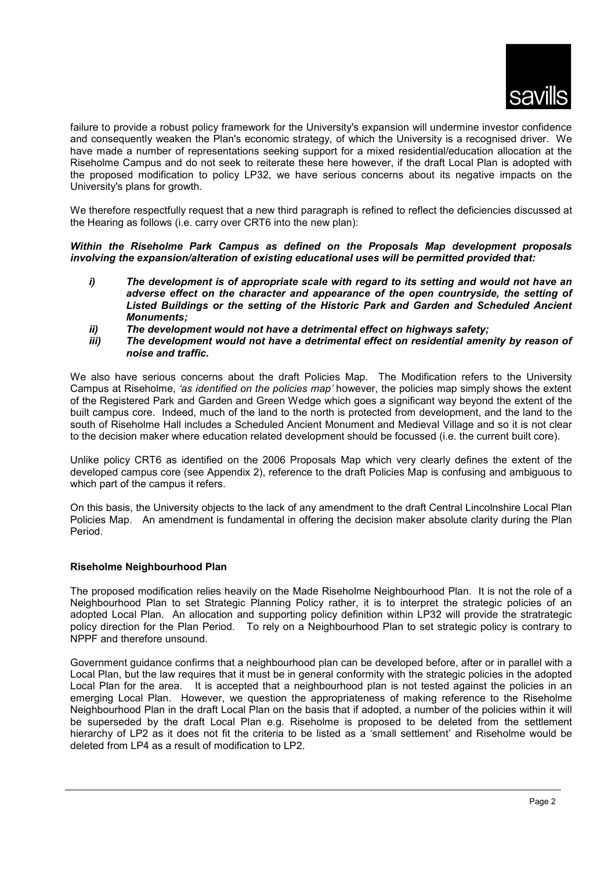

failure to provide a robust policy framework for the University's expansion will undermine investor confidence and consequently weaken the Plan's economic strategy, of which the University is a recognised driver. We have made a number of representations seeking support for a mixed residential/education allocation at the Riseholme Campus and do not seek to reiterate these here however, if the draft Local Plan is adopted with the proposed modification to policy LP32, we have serious concerns about its negative impacts on the University's plans for growth.

We therefore respectfully request that a new third paragraph is refined to reflect the deficiencies discussed at the Hearing as follows (i.e. carry over CRT6 into the new plan):

*Within the Riseholme Park Campus as defined on the Proposals Map development proposals involving the expansion/alteration of existing educational uses will be permitted provided that:* 

- *i) The development is of appropriate scale with regard to its setting and would not have an adverse effect on the character and appearance of the open countryside, the setting of Listed Buildings or the setting of the Historic Park and Garden and Scheduled Ancient Monuments;*
- *ii) The development would not have a detrimental effect on highways safety;*
- *iii) The development would not have a detrimental effect on residential amenity by reason of noise and traffic.*

We also have serious concerns about the draft Policies Map. The Modification refers to the University Campus at Riseholme, *'as identified on the policies map'* however, the policies map simply shows the extent of the Registered Park and Garden and Green Wedge which goes a significant way beyond the extent of the built campus core. Indeed, much of the land to the north is protected from development, and the land to the south of Riseholme Hall includes a Scheduled Ancient Monument and Medieval Village and so it is not clear to the decision maker where education related development should be focussed (i.e. the current built core).

Unlike policy CRT6 as identified on the 2006 Proposals Map which very clearly defines the extent of the developed campus core (see Appendix 2), reference to the draft Policies Map is confusing and ambiguous to which part of the campus it refers.

On this basis, the University objects to the lack of any amendment to the draft Central Lincolnshire Local Plan Policies Map. An amendment is fundamental in offering the decision maker absolute clarity during the Plan Period.

# **Riseholme Neighbourhood Plan**

The proposed modification relies heavily on the Made Riseholme Neighbourhood Plan. It is not the role of a Neighbourhood Plan to set Strategic Planning Policy rather, it is to interpret the strategic policies of an adopted Local Plan. An allocation and supporting policy definition within LP32 will provide the stratrategic policy direction for the Plan Period. To rely on a Neighbourhood Plan to set strategic policy is contrary to NPPF and therefore unsound.

Government guidance confirms that a neighbourhood plan can be developed before, after or in parallel with a Local Plan, but the law requires that it must be in general conformity with the strategic policies in the adopted Local Plan for the area. It is accepted that a neighbourhood plan is not tested against the policies in an emerging Local Plan. However, we question the appropriateness of making reference to the Riseholme Neighbourhood Plan in the draft Local Plan on the basis that if adopted, a number of the policies within it will be superseded by the draft Local Plan e.g. Riseholme is proposed to be deleted from the settlement hierarchy of LP2 as it does not fit the criteria to be listed as a 'small settlement' and Riseholme would be deleted from LP4 as a result of modification to LP2.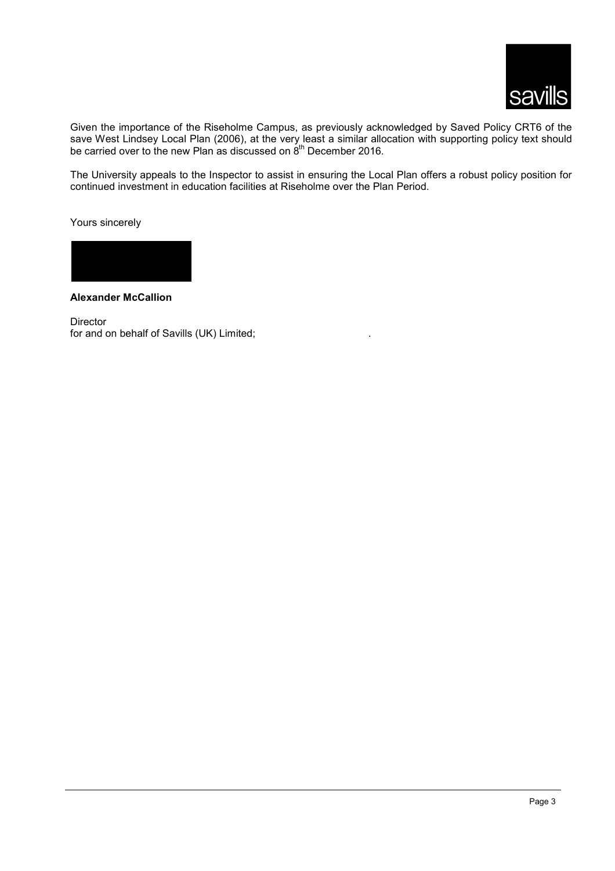

Given the importance of the Riseholme Campus, as previously acknowledged by Saved Policy CRT6 of the save West Lindsey Local Plan (2006), at the very least a similar allocation with supporting policy text should be carried over to the new Plan as discussed on  $8<sup>th</sup>$  December 2016.

The University appeals to the Inspector to assist in ensuring the Local Plan offers a robust policy position for continued investment in education facilities at Riseholme over the Plan Period.

Yours sincerely



**Alexander McCallion** 

Director for and on behalf of Savills (UK) Limited;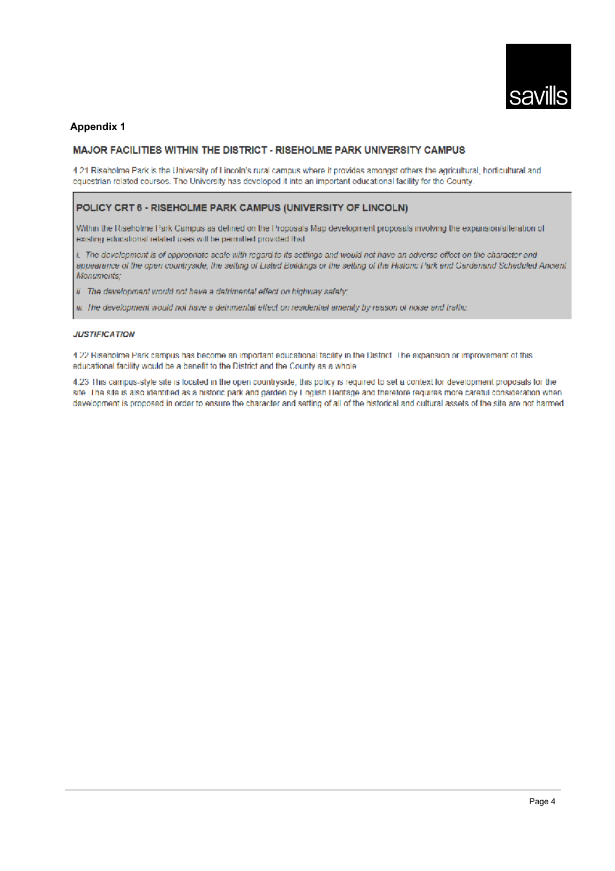

# **Appendix 1**

#### MAJOR FACILITIES WITHIN THE DISTRICT - RISEHOLME PARK UNIVERSITY CAMPUS

4.21 Riseholme Park is the University of Lincoln's rural campus where it provides amongst others the agricultural, horticultural and equestrian related courses. The University has developed it into an important educational facility for the County.

#### POLICY CRT 6 - RISEHOLME PARK CAMPUS (UNIVERSITY OF LINCOLN)

Within the Riseholme Park Campus as defined on the Proposals Map development proposals involving the expansion/alteration of existing educational related uses will be permitted provided that

i. The development is of oppropriate scale with regard to its settings and would not have an adverse effect on the character and appearance of the open countryside, the setting of Listed Buildings or the setting of the Historic Park and Cardenand Scheduled Ancient Monuments;

ii The development would not have a detrimental effect on highway safety;

iii. The development would not have a detrimental effect on residential amenity by reason of noise and traffic.

#### **JUSTIFICATION**

4.22 Riseholme Park campus has become an important educational facility in the District. The expansion or improvement of this educational facility would be a benefit to the District and the County as a whole

4.23 This campus-style site is located in the open countryside, this policy is required to set a context for development proposals for the site. The site is also identified as a historic park and garden by Linglish Heritage and therefore requires more careful consideration when development is proposed in order to ensure the character and setting of all of the historical and cultural assets of the site are not harmed.